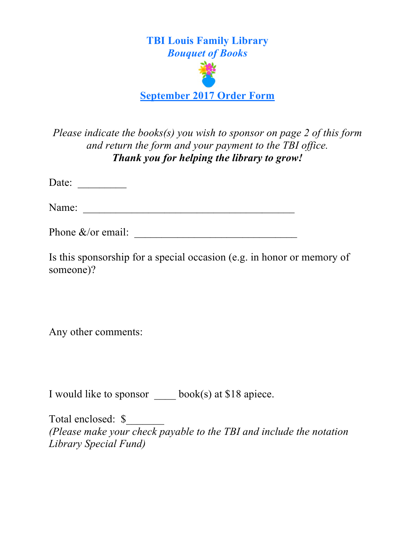

*Please indicate the books(s) you wish to sponsor on page 2 of this form and return the form and your payment to the TBI office. Thank you for helping the library to grow!*

Date:  $\frac{1}{\sqrt{1-\frac{1}{2}}\cdot\frac{1}{\sqrt{1-\frac{1}{2}}}}$ 

Name: \_\_\_\_\_\_\_\_\_\_\_\_\_\_\_\_\_\_\_\_\_\_\_\_\_\_\_\_\_\_\_\_\_\_\_\_\_\_\_

Phone  $\&$ /or email:

Is this sponsorship for a special occasion (e.g. in honor or memory of someone)?

Any other comments:

I would like to sponsor \_\_\_\_ book(s) at \$18 apiece.

Total enclosed: \$\_\_\_\_\_\_\_ *(Please make your check payable to the TBI and include the notation Library Special Fund)*